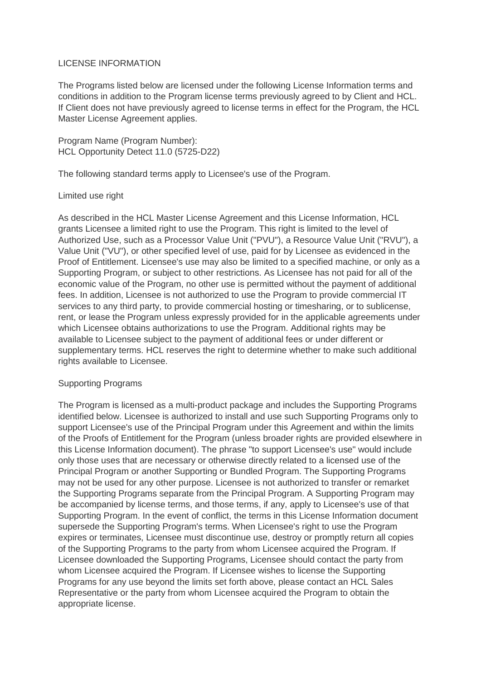## LICENSE INFORMATION

The Programs listed below are licensed under the following License Information terms and conditions in addition to the Program license terms previously agreed to by Client and HCL. If Client does not have previously agreed to license terms in effect for the Program, the HCL Master License Agreement applies.

Program Name (Program Number): HCL Opportunity Detect 11.0 (5725-D22)

The following standard terms apply to Licensee's use of the Program.

## Limited use right

As described in the HCL Master License Agreement and this License Information, HCL grants Licensee a limited right to use the Program. This right is limited to the level of Authorized Use, such as a Processor Value Unit ("PVU"), a Resource Value Unit ("RVU"), a Value Unit ("VU"), or other specified level of use, paid for by Licensee as evidenced in the Proof of Entitlement. Licensee's use may also be limited to a specified machine, or only as a Supporting Program, or subject to other restrictions. As Licensee has not paid for all of the economic value of the Program, no other use is permitted without the payment of additional fees. In addition, Licensee is not authorized to use the Program to provide commercial IT services to any third party, to provide commercial hosting or timesharing, or to sublicense, rent, or lease the Program unless expressly provided for in the applicable agreements under which Licensee obtains authorizations to use the Program. Additional rights may be available to Licensee subject to the payment of additional fees or under different or supplementary terms. HCL reserves the right to determine whether to make such additional rights available to Licensee.

## Supporting Programs

The Program is licensed as a multi-product package and includes the Supporting Programs identified below. Licensee is authorized to install and use such Supporting Programs only to support Licensee's use of the Principal Program under this Agreement and within the limits of the Proofs of Entitlement for the Program (unless broader rights are provided elsewhere in this License Information document). The phrase "to support Licensee's use" would include only those uses that are necessary or otherwise directly related to a licensed use of the Principal Program or another Supporting or Bundled Program. The Supporting Programs may not be used for any other purpose. Licensee is not authorized to transfer or remarket the Supporting Programs separate from the Principal Program. A Supporting Program may be accompanied by license terms, and those terms, if any, apply to Licensee's use of that Supporting Program. In the event of conflict, the terms in this License Information document supersede the Supporting Program's terms. When Licensee's right to use the Program expires or terminates, Licensee must discontinue use, destroy or promptly return all copies of the Supporting Programs to the party from whom Licensee acquired the Program. If Licensee downloaded the Supporting Programs, Licensee should contact the party from whom Licensee acquired the Program. If Licensee wishes to license the Supporting Programs for any use beyond the limits set forth above, please contact an HCL Sales Representative or the party from whom Licensee acquired the Program to obtain the appropriate license.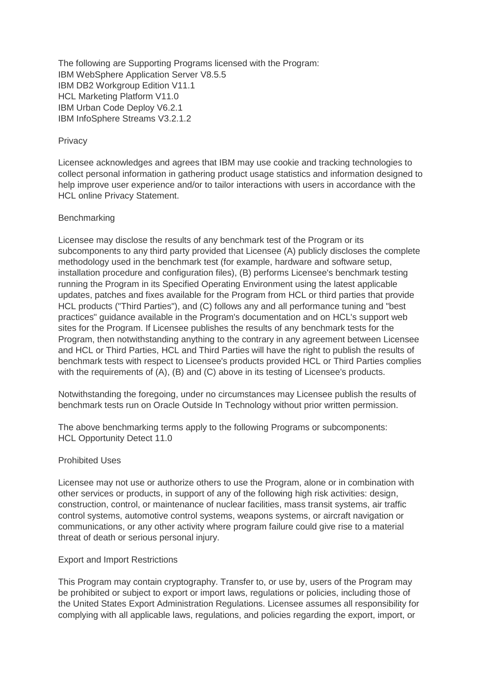The following are Supporting Programs licensed with the Program: IBM WebSphere Application Server V8.5.5 IBM DB2 Workgroup Edition V11.1 HCL Marketing Platform V11.0 IBM Urban Code Deploy V6.2.1 IBM InfoSphere Streams V3.2.1.2

## **Privacy**

Licensee acknowledges and agrees that IBM may use cookie and tracking technologies to collect personal information in gathering product usage statistics and information designed to help improve user experience and/or to tailor interactions with users in accordance with the HCL online Privacy Statement.

# **Benchmarking**

Licensee may disclose the results of any benchmark test of the Program or its subcomponents to any third party provided that Licensee (A) publicly discloses the complete methodology used in the benchmark test (for example, hardware and software setup, installation procedure and configuration files), (B) performs Licensee's benchmark testing running the Program in its Specified Operating Environment using the latest applicable updates, patches and fixes available for the Program from HCL or third parties that provide HCL products ("Third Parties"), and (C) follows any and all performance tuning and "best practices" guidance available in the Program's documentation and on HCL's support web sites for the Program. If Licensee publishes the results of any benchmark tests for the Program, then notwithstanding anything to the contrary in any agreement between Licensee and HCL or Third Parties, HCL and Third Parties will have the right to publish the results of benchmark tests with respect to Licensee's products provided HCL or Third Parties complies with the requirements of (A), (B) and (C) above in its testing of Licensee's products.

Notwithstanding the foregoing, under no circumstances may Licensee publish the results of benchmark tests run on Oracle Outside In Technology without prior written permission.

The above benchmarking terms apply to the following Programs or subcomponents: HCL Opportunity Detect 11.0

## Prohibited Uses

Licensee may not use or authorize others to use the Program, alone or in combination with other services or products, in support of any of the following high risk activities: design, construction, control, or maintenance of nuclear facilities, mass transit systems, air traffic control systems, automotive control systems, weapons systems, or aircraft navigation or communications, or any other activity where program failure could give rise to a material threat of death or serious personal injury.

## Export and Import Restrictions

This Program may contain cryptography. Transfer to, or use by, users of the Program may be prohibited or subject to export or import laws, regulations or policies, including those of the United States Export Administration Regulations. Licensee assumes all responsibility for complying with all applicable laws, regulations, and policies regarding the export, import, or